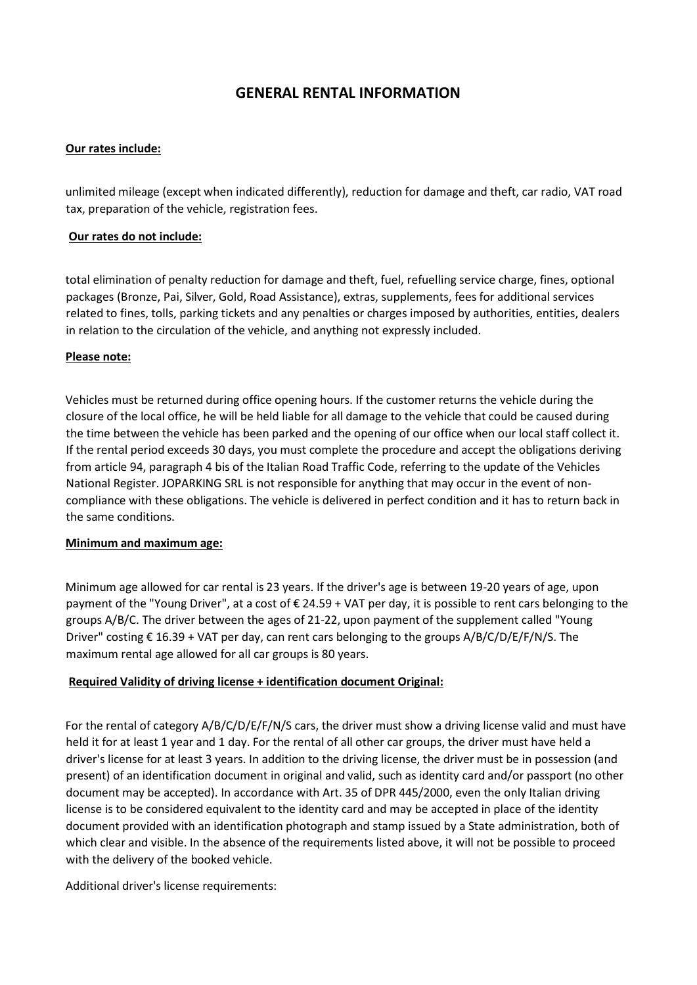# **GENERAL RENTAL INFORMATION**

### **Our rates include:**

unlimited mileage (except when indicated differently), reduction for damage and theft, car radio, VAT road tax, preparation of the vehicle, registration fees.

### **Our rates do not include:**

total elimination of penalty reduction for damage and theft, fuel, refuelling service charge, fines, optional packages (Bronze, Pai, Silver, Gold, Road Assistance), extras, supplements, fees for additional services related to fines, tolls, parking tickets and any penalties or charges imposed by authorities, entities, dealers in relation to the circulation of the vehicle, and anything not expressly included.

### **Please note:**

Vehicles must be returned during office opening hours. If the customer returns the vehicle during the closure of the local office, he will be held liable for all damage to the vehicle that could be caused during the time between the vehicle has been parked and the opening of our office when our local staff collect it. If the rental period exceeds 30 days, you must complete the procedure and accept the obligations deriving from article 94, paragraph 4 bis of the Italian Road Traffic Code, referring to the update of the Vehicles National Register. JOPARKING SRL is not responsible for anything that may occur in the event of noncompliance with these obligations. The vehicle is delivered in perfect condition and it has to return back in the same conditions.

#### **Minimum and maximum age:**

Minimum age allowed for car rental is 23 years. If the driver's age is between 19-20 years of age, upon payment of the "Young Driver", at a cost of € 24.59 + VAT per day, it is possible to rent cars belonging to the groups A/B/C. The driver between the ages of 21-22, upon payment of the supplement called "Young Driver" costing  $\epsilon$  16.39 + VAT per day, can rent cars belonging to the groups A/B/C/D/E/F/N/S. The maximum rental age allowed for all car groups is 80 years.

## **Required Validity of driving license + identification document Original:**

For the rental of category A/B/C/D/E/F/N/S cars, the driver must show a driving license valid and must have held it for at least 1 year and 1 day. For the rental of all other car groups, the driver must have held a driver's license for at least 3 years. In addition to the driving license, the driver must be in possession (and present) of an identification document in original and valid, such as identity card and/or passport (no other document may be accepted). In accordance with Art. 35 of DPR 445/2000, even the only Italian driving license is to be considered equivalent to the identity card and may be accepted in place of the identity document provided with an identification photograph and stamp issued by a State administration, both of which clear and visible. In the absence of the requirements listed above, it will not be possible to proceed with the delivery of the booked vehicle.

Additional driver's license requirements: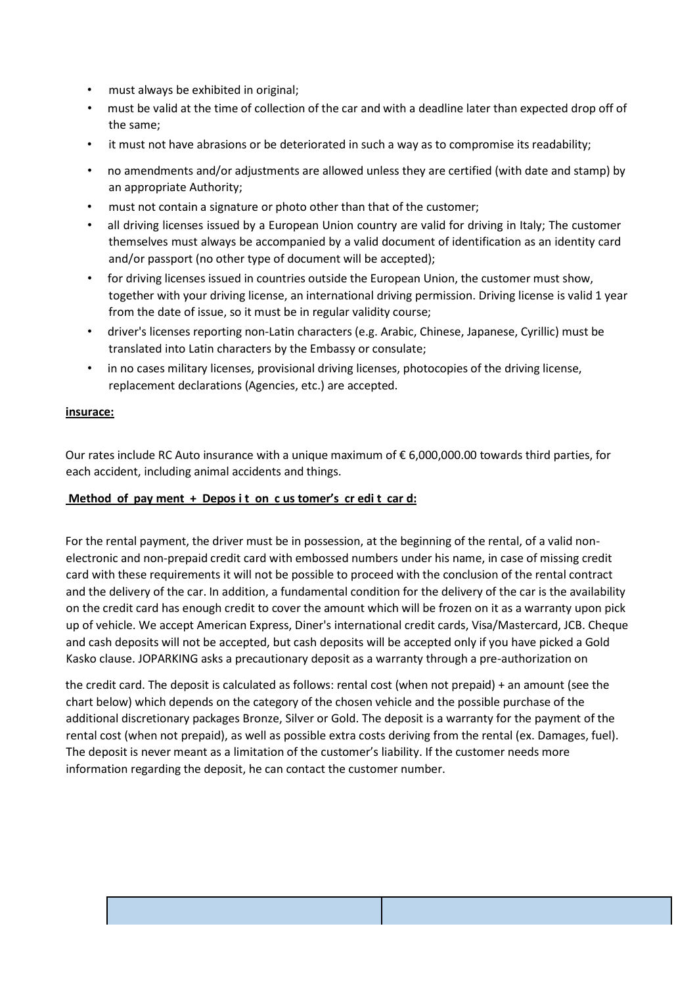- must always be exhibited in original;
- must be valid at the time of collection of the car and with a deadline later than expected drop off of the same;
- it must not have abrasions or be deteriorated in such a way as to compromise its readability;
- no amendments and/or adjustments are allowed unless they are certified (with date and stamp) by an appropriate Authority;
- must not contain a signature or photo other than that of the customer;
- all driving licenses issued by a European Union country are valid for driving in Italy; The customer themselves must always be accompanied by a valid document of identification as an identity card and/or passport (no other type of document will be accepted);
- for driving licenses issued in countries outside the European Union, the customer must show, together with your driving license, an international driving permission. Driving license is valid 1 year from the date of issue, so it must be in regular validity course;
- driver's licenses reporting non-Latin characters (e.g. Arabic, Chinese, Japanese, Cyrillic) must be translated into Latin characters by the Embassy or consulate;
- in no cases military licenses, provisional driving licenses, photocopies of the driving license, replacement declarations (Agencies, etc.) are accepted.

#### **insurace:**

Our rates include RC Auto insurance with a unique maximum of € 6,000,000.00 towards third parties, for each accident, including animal accidents and things.

### **Method of pay ment + Depos i t on c us tomer's cr edi t car d:**

For the rental payment, the driver must be in possession, at the beginning of the rental, of a valid nonelectronic and non-prepaid credit card with embossed numbers under his name, in case of missing credit card with these requirements it will not be possible to proceed with the conclusion of the rental contract and the delivery of the car. In addition, a fundamental condition for the delivery of the car is the availability on the credit card has enough credit to cover the amount which will be frozen on it as a warranty upon pick up of vehicle. We accept American Express, Diner's international credit cards, Visa/Mastercard, JCB. Cheque and cash deposits will not be accepted, but cash deposits will be accepted only if you have picked a Gold Kasko clause. JOPARKING asks a precautionary deposit as a warranty through a pre-authorization on

the credit card. The deposit is calculated as follows: rental cost (when not prepaid) + an amount (see the chart below) which depends on the category of the chosen vehicle and the possible purchase of the additional discretionary packages Bronze, Silver or Gold. The deposit is a warranty for the payment of the rental cost (when not prepaid), as well as possible extra costs deriving from the rental (ex. Damages, fuel). The deposit is never meant as a limitation of the customer's liability. If the customer needs more information regarding the deposit, he can contact the customer number.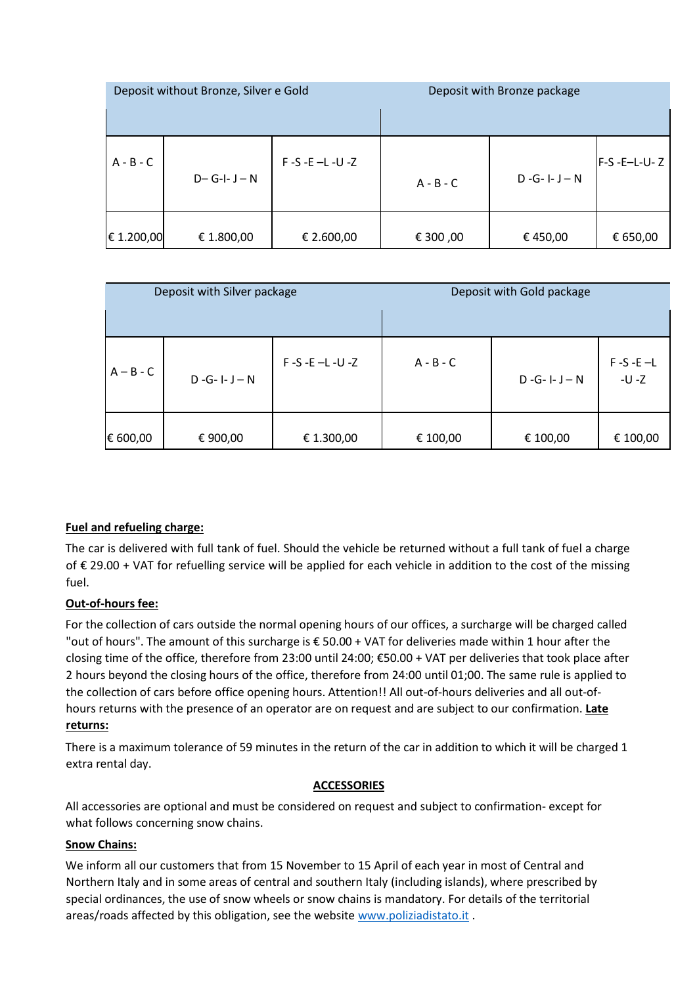| Deposit without Bronze, Silver e Gold |                 |                       | Deposit with Bronze package |                     |              |
|---------------------------------------|-----------------|-----------------------|-----------------------------|---------------------|--------------|
| $A - B - C$                           | $D - G - I - N$ | $F-S - E - L - U - Z$ | $A - B - C$                 | $D - G - I - J - N$ | F-S -E-L-U-Z |
| € 1.200,00                            | € 1.800,00      | € 2.600,00            | € 300,00                    | € 450,00            | € 650,00     |

| Deposit with Silver package |                     |                       | Deposit with Gold package |                     |                          |
|-----------------------------|---------------------|-----------------------|---------------------------|---------------------|--------------------------|
|                             |                     |                       |                           |                     |                          |
| $A - B - C$                 | $D - G - I - J - N$ | $F-S - E - L - U - Z$ | $A - B - C$               | $D - G - I - J - N$ | $F-S - E - L$<br>$-U -Z$ |
| € 600,00                    | € 900,00            | € 1.300,00            | € 100,00                  | € 100,00            | € 100,00                 |

## **Fuel and refueling charge:**

The car is delivered with full tank of fuel. Should the vehicle be returned without a full tank of fuel a charge of € 29.00 + VAT for refuelling service will be applied for each vehicle in addition to the cost of the missing fuel.

## **Out-of-hours fee:**

For the collection of cars outside the normal opening hours of our offices, a surcharge will be charged called "out of hours". The amount of this surcharge is € 50.00 + VAT for deliveries made within 1 hour after the closing time of the office, therefore from 23:00 until 24:00; €50.00 + VAT per deliveries that took place after 2 hours beyond the closing hours of the office, therefore from 24:00 until 01;00. The same rule is applied to the collection of cars before office opening hours. Attention!! All out-of-hours deliveries and all out-ofhours returns with the presence of an operator are on request and are subject to our confirmation. **Late returns:**

There is a maximum tolerance of 59 minutes in the return of the car in addition to which it will be charged 1 extra rental day.

## **ACCESSORIES**

All accessories are optional and must be considered on request and subject to confirmation- except for what follows concerning snow chains.

## **Snow Chains:**

We inform all our customers that from 15 November to 15 April of each year in most of Central and Northern Italy and in some areas of central and southern Italy (including islands), where prescribed by special ordinances, the use of snow wheels or snow chains is mandatory. For details of the territorial areas/roads affected by this obligation, see the website www.poliziadistato.it.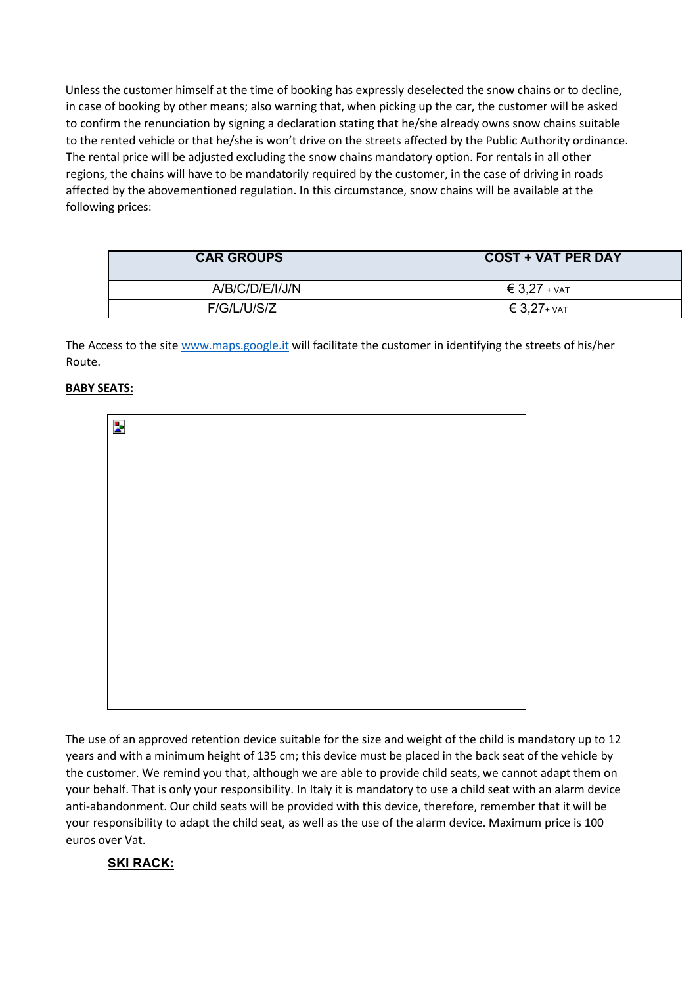Unless the customer himself at the time of booking has expressly deselected the snow chains or to decline, in case of booking by other means; also warning that, when picking up the car, the customer will be asked to confirm the renunciation by signing a declaration stating that he/she already owns snow chains suitable to the rented vehicle or that he/she is won't drive on the streets affected by the Public Authority ordinance. The rental price will be adjusted excluding the snow chains mandatory option. For rentals in all other regions, the chains will have to be mandatorily required by the customer, in the case of driving in roads affected by the abovementioned regulation. In this circumstance, snow chains will be available at the following prices:

| <b>CAR GROUPS</b> | <b>COST + VAT PER DAY</b> |  |
|-------------------|---------------------------|--|
| A/B/C/D/E/I/J/N   | $\epsilon$ 3,27 + $VAT$   |  |
| F/G/L/U/S/Z       | $\epsilon$ 3,27+ $VAT$    |  |

The Access to the site www.maps.google.it will facilitate the customer in identifying the streets of his/her Route.

## **BABY SEATS:**

| Þ. |  |  |  |
|----|--|--|--|
|    |  |  |  |
|    |  |  |  |
|    |  |  |  |
|    |  |  |  |
|    |  |  |  |
|    |  |  |  |
|    |  |  |  |
|    |  |  |  |
|    |  |  |  |
|    |  |  |  |

The use of an approved retention device suitable for the size and weight of the child is mandatory up to 12 years and with a minimum height of 135 cm; this device must be placed in the back seat of the vehicle by the customer. We remind you that, although we are able to provide child seats, we cannot adapt them on your behalf. That is only your responsibility. In Italy it is mandatory to use a child seat with an alarm device anti-abandonment. Our child seats will be provided with this device, therefore, remember that it will be your responsibility to adapt the child seat, as well as the use of the alarm device. Maximum price is 100 euros over Vat.

# **SKI RACK:**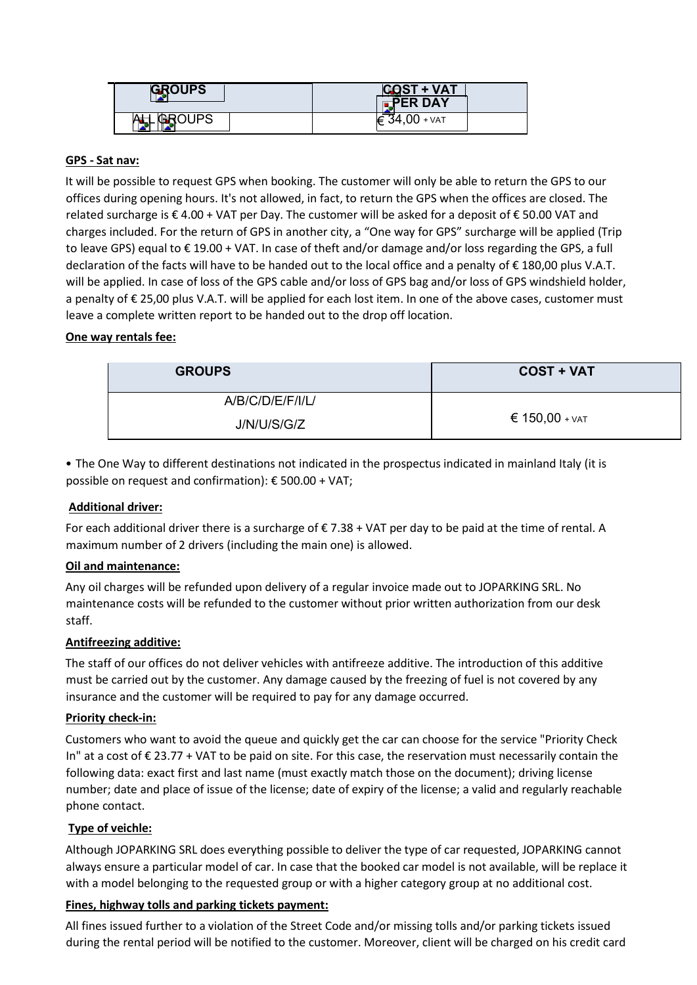| <b>GROUPS</b> | <b>COST + VAT</b><br>$\blacksquare$ PER DAY |  |
|---------------|---------------------------------------------|--|
|               | + VAT                                       |  |

## **GPS - Sat nav:**

It will be possible to request GPS when booking. The customer will only be able to return the GPS to our offices during opening hours. It's not allowed, in fact, to return the GPS when the offices are closed. The related surcharge is € 4.00 + VAT per Day. The customer will be asked for a deposit of € 50.00 VAT and charges included. For the return of GPS in another city, a "One way for GPS" surcharge will be applied (Trip to leave GPS) equal to € 19.00 + VAT. In case of theft and/or damage and/or loss regarding the GPS, a full declaration of the facts will have to be handed out to the local office and a penalty of € 180,00 plus V.A.T. will be applied. In case of loss of the GPS cable and/or loss of GPS bag and/or loss of GPS windshield holder, a penalty of € 25,00 plus V.A.T. will be applied for each lost item. In one of the above cases, customer must leave a complete written report to be handed out to the drop off location.

### **One way rentals fee:**

| <b>GROUPS</b>    | <b>COST + VAT</b>         |  |
|------------------|---------------------------|--|
| A/B/C/D/E/F/I/L/ |                           |  |
| J/N/U/S/G/Z      | $\epsilon$ 150,00 + $var$ |  |

• The One Way to different destinations not indicated in the prospectus indicated in mainland Italy (it is possible on request and confirmation): € 500.00 + VAT;

## **Additional driver:**

For each additional driver there is a surcharge of  $\epsilon$  7.38 + VAT per day to be paid at the time of rental. A maximum number of 2 drivers (including the main one) is allowed.

#### **Oil and maintenance:**

Any oil charges will be refunded upon delivery of a regular invoice made out to JOPARKING SRL. No maintenance costs will be refunded to the customer without prior written authorization from our desk staff.

#### **Antifreezing additive:**

The staff of our offices do not deliver vehicles with antifreeze additive. The introduction of this additive must be carried out by the customer. Any damage caused by the freezing of fuel is not covered by any insurance and the customer will be required to pay for any damage occurred.

#### **Priority check-in:**

Customers who want to avoid the queue and quickly get the car can choose for the service "Priority Check In" at a cost of € 23.77 + VAT to be paid on site. For this case, the reservation must necessarily contain the following data: exact first and last name (must exactly match those on the document); driving license number; date and place of issue of the license; date of expiry of the license; a valid and regularly reachable phone contact.

## **Type of veichle:**

Although JOPARKING SRL does everything possible to deliver the type of car requested, JOPARKING cannot always ensure a particular model of car. In case that the booked car model is not available, will be replace it with a model belonging to the requested group or with a higher category group at no additional cost.

#### **Fines, highway tolls and parking tickets payment:**

All fines issued further to a violation of the Street Code and/or missing tolls and/or parking tickets issued during the rental period will be notified to the customer. Moreover, client will be charged on his credit card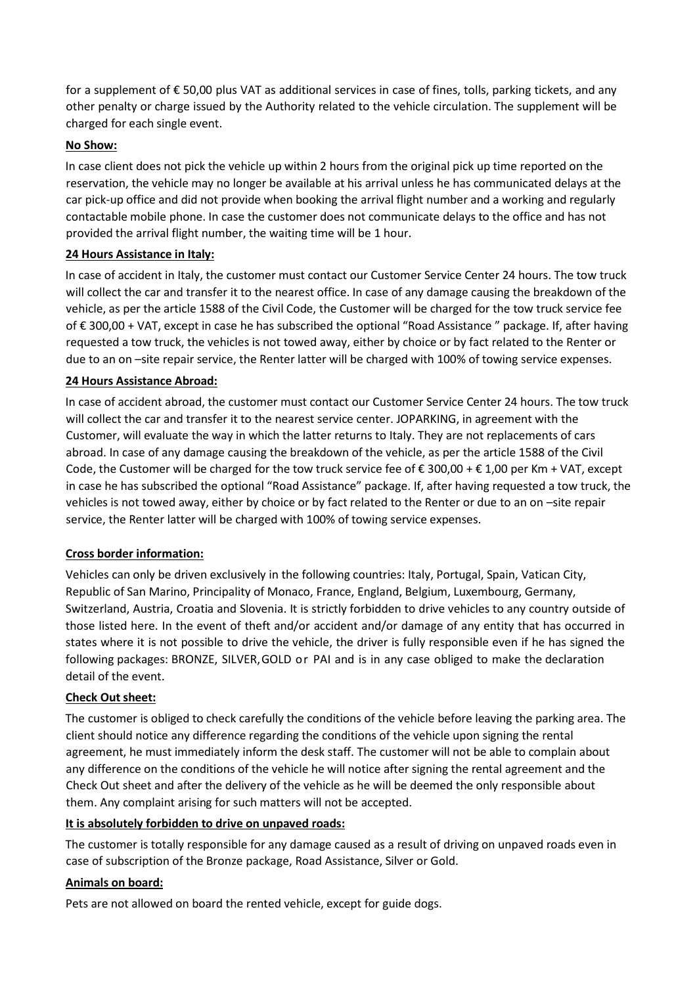for a supplement of € 50,00 plus VAT as additional services in case of fines, tolls, parking tickets, and any other penalty or charge issued by the Authority related to the vehicle circulation. The supplement will be charged for each single event.

## **No Show:**

In case client does not pick the vehicle up within 2 hours from the original pick up time reported on the reservation, the vehicle may no longer be available at his arrival unless he has communicated delays at the car pick-up office and did not provide when booking the arrival flight number and a working and regularly contactable mobile phone. In case the customer does not communicate delays to the office and has not provided the arrival flight number, the waiting time will be 1 hour.

## **24 Hours Assistance in Italy:**

In case of accident in Italy, the customer must contact our Customer Service Center 24 hours. The tow truck will collect the car and transfer it to the nearest office. In case of any damage causing the breakdown of the vehicle, as per the article 1588 of the Civil Code, the Customer will be charged for the tow truck service fee of € 300,00 + VAT, except in case he has subscribed the optional "Road Assistance " package. If, after having requested a tow truck, the vehicles is not towed away, either by choice or by fact related to the Renter or due to an on –site repair service, the Renter latter will be charged with 100% of towing service expenses.

## **24 Hours Assistance Abroad:**

In case of accident abroad, the customer must contact our Customer Service Center 24 hours. The tow truck will collect the car and transfer it to the nearest service center. JOPARKING, in agreement with the Customer, will evaluate the way in which the latter returns to Italy. They are not replacements of cars abroad. In case of any damage causing the breakdown of the vehicle, as per the article 1588 of the Civil Code, the Customer will be charged for the tow truck service fee of  $\epsilon$  300,00 +  $\epsilon$  1,00 per Km + VAT, except in case he has subscribed the optional "Road Assistance" package. If, after having requested a tow truck, the vehicles is not towed away, either by choice or by fact related to the Renter or due to an on –site repair service, the Renter latter will be charged with 100% of towing service expenses.

# **Cross border information:**

Vehicles can only be driven exclusively in the following countries: Italy, Portugal, Spain, Vatican City, Republic of San Marino, Principality of Monaco, France, England, Belgium, Luxembourg, Germany, Switzerland, Austria, Croatia and Slovenia. It is strictly forbidden to drive vehicles to any country outside of those listed here. In the event of theft and/or accident and/or damage of any entity that has occurred in states where it is not possible to drive the vehicle, the driver is fully responsible even if he has signed the following packages: BRONZE, SILVER,GOLD or PAI and is in any case obliged to make the declaration detail of the event.

## **Check Out sheet:**

The customer is obliged to check carefully the conditions of the vehicle before leaving the parking area. The client should notice any difference regarding the conditions of the vehicle upon signing the rental agreement, he must immediately inform the desk staff. The customer will not be able to complain about any difference on the conditions of the vehicle he will notice after signing the rental agreement and the Check Out sheet and after the delivery of the vehicle as he will be deemed the only responsible about them. Any complaint arising for such matters will not be accepted.

## **It is absolutely forbidden to drive on unpaved roads:**

The customer is totally responsible for any damage caused as a result of driving on unpaved roads even in case of subscription of the Bronze package, Road Assistance, Silver or Gold.

## **Animals on board:**

Pets are not allowed on board the rented vehicle, except for guide dogs.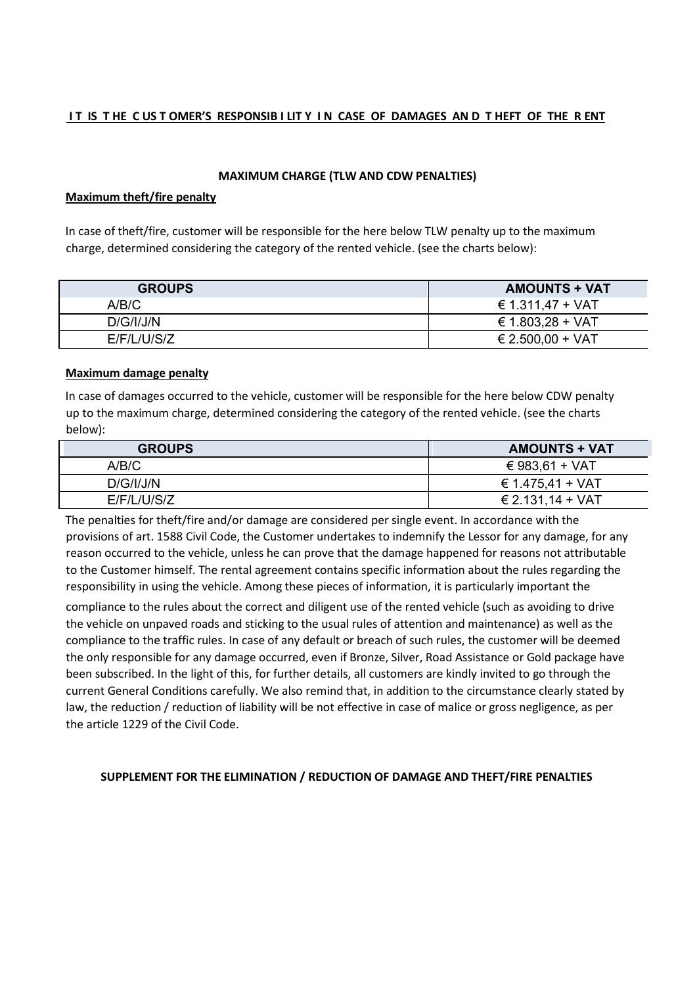### IT IS THE CUSTOMER'S RESPONSIBILITY IN CASE OF DAMAGES AND THEFT OF THE RENT

#### **MAXIMUM CHARGE (TLW AND CDW PENALTIES)**

#### **Maximum theft/fire penalty**

In case of theft/fire, customer will be responsible for the here below TLW penalty up to the maximum charge, determined considering the category of the rented vehicle. (see the charts below):

| <b>GROUPS</b> | <b>AMOUNTS + VAT</b> |
|---------------|----------------------|
| A/B/C         | € 1.311,47 + VAT     |
| D/G/I/J/N     | € 1.803,28 + VAT     |
| E/F/L/ U/S/Z  | € 2.500,00 + VAT     |

#### **Maximum damage penalty**

In case of damages occurred to the vehicle, customer will be responsible for the here below CDW penalty up to the maximum charge, determined considering the category of the rented vehicle. (see the charts below):

| <b>GROUPS</b> | <b>AMOUNTS + VAT</b> |
|---------------|----------------------|
| A/B/C         | € 983,61 + VAT       |
| D/G/ I/J/N    | € 1.475,41 + VAT     |
| E/F/L/ U/S/Z  | € 2.131,14 + VAT     |

The penalties for theft/fire and/or damage are considered per single event. In accordance with the provisions of art. 1588 Civil Code, the Customer undertakes to indemnify the Lessor for any damage, for any reason occurred to the vehicle, unless he can prove that the damage happened for reasons not attributable to the Customer himself. The rental agreement contains specific information about the rules regarding the responsibility in using the vehicle. Among these pieces of information, it is particularly important the

compliance to the rules about the correct and diligent use of the rented vehicle (such as avoiding to drive the vehicle on unpaved roads and sticking to the usual rules of attention and maintenance) as well as the compliance to the traffic rules. In case of any default or breach of such rules, the customer will be deemed the only responsible for any damage occurred, even if Bronze, Silver, Road Assistance or Gold package have been subscribed. In the light of this, for further details, all customers are kindly invited to go through the current General Conditions carefully. We also remind that, in addition to the circumstance clearly stated by law, the reduction / reduction of liability will be not effective in case of malice or gross negligence, as per the article 1229 of the Civil Code.

#### **SUPPLEMENT FOR THE ELIMINATION / REDUCTION OF DAMAGE AND THEFT/FIRE PENALTIES**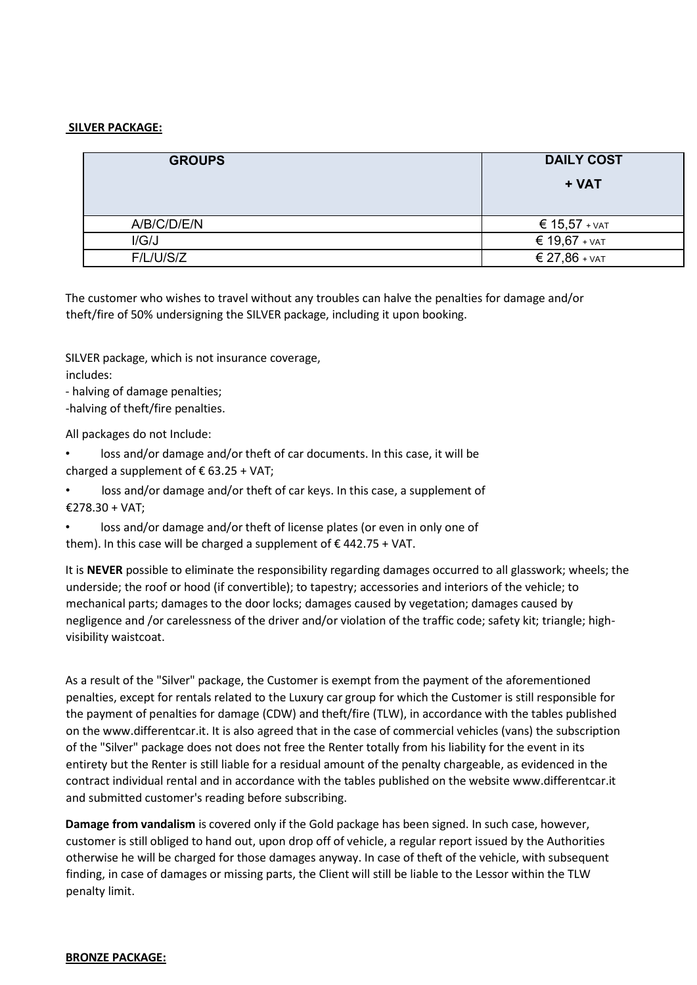### **SILVER PACKAGE:**

| <b>GROUPS</b> | <b>DAILY COST</b><br>+ VAT |
|---------------|----------------------------|
| A/B/C/D/E/N   | € 15,57 + ∨ат              |
| I/G/J         | € 19,67 + $VAT$            |
| F/L/UIS/Z     | $\epsilon$ 27,86 + $VAT$   |

The customer who wishes to travel without any troubles can halve the penalties for damage and/or theft/fire of 50% undersigning the SILVER package, including it upon booking.

SILVER package, which is not insurance coverage, includes:

- halving of damage penalties;

-halving of theft/fire penalties.

All packages do not Include:

loss and/or damage and/or theft of car documents. In this case, it will be charged a supplement of  $\epsilon$  63.25 + VAT:

loss and/or damage and/or theft of car keys. In this case, a supplement of €278.30 + VAT;

• loss and/or damage and/or theft of license plates (or even in only one of them). In this case will be charged a supplement of  $\epsilon$  442.75 + VAT.

It is **NEVER** possible to eliminate the responsibility regarding damages occurred to all glasswork; wheels; the underside; the roof or hood (if convertible); to tapestry; accessories and interiors of the vehicle; to mechanical parts; damages to the door locks; damages caused by vegetation; damages caused by negligence and /or carelessness of the driver and/or violation of the traffic code; safety kit; triangle; highvisibility waistcoat.

As a result of the "Silver" package, the Customer is exempt from the payment of the aforementioned penalties, except for rentals related to the Luxury car group for which the Customer is still responsible for the payment of penalties for damage (CDW) and theft/fire (TLW), in accordance with the tables published on the www.differentcar.it. It is also agreed that in the case of commercial vehicles (vans) the subscription of the "Silver" package does not does not free the Renter totally from his liability for the event in its entirety but the Renter is still liable for a residual amount of the penalty chargeable, as evidenced in the contract individual rental and in accordance with the tables published on the website www.differentcar.it and submitted customer's reading before subscribing.

**Damage from vandalism** is covered only if the Gold package has been signed. In such case, however, customer is still obliged to hand out, upon drop off of vehicle, a regular report issued by the Authorities otherwise he will be charged for those damages anyway. In case of theft of the vehicle, with subsequent finding, in case of damages or missing parts, the Client will still be liable to the Lessor within the TLW penalty limit.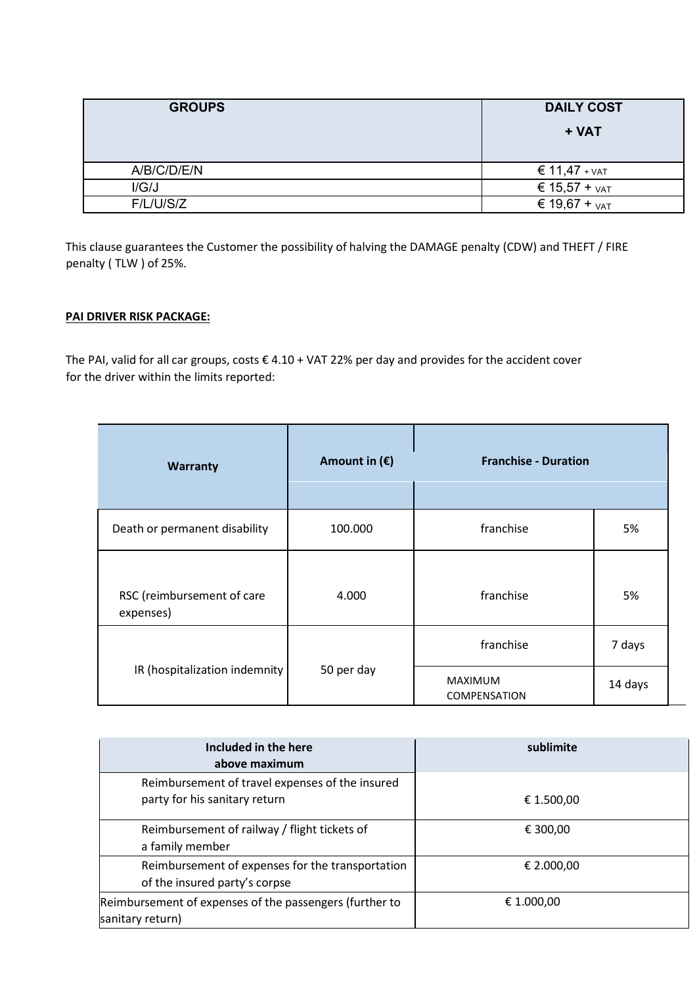| <b>GROUPS</b> | <b>DAILY COST</b><br>+ VAT |
|---------------|----------------------------|
| A/B/C/D/E/N   | $\epsilon$ 11,47 + $VAT$   |
| I/G/J         | € 15,57 + $VAT$            |
| F/L/UIS/Z     | € 19,67 + $VAT$            |

This clause guarantees the Customer the possibility of halving the DAMAGE penalty (CDW) and THEFT / FIRE penalty ( TLW ) of 25%.

## **PAI DRIVER RISK PACKAGE:**

The PAI, valid for all car groups, costs € 4.10 + VAT 22% per day and provides for the accident cover for the driver within the limits reported:

| <b>Warranty</b>                         | Amount in $(\epsilon)$ | <b>Franchise - Duration</b>    |         |
|-----------------------------------------|------------------------|--------------------------------|---------|
| Death or permanent disability           | 100.000                | franchise                      | 5%      |
| RSC (reimbursement of care<br>expenses) | 4.000                  | franchise                      | 5%      |
|                                         |                        | franchise                      | 7 days  |
| IR (hospitalization indemnity           | 50 per day             | MAXIMUM<br><b>COMPENSATION</b> | 14 days |

| Included in the here<br>above maximum                                             | sublimite  |
|-----------------------------------------------------------------------------------|------------|
| Reimbursement of travel expenses of the insured<br>party for his sanitary return  | € 1.500,00 |
| Reimbursement of railway / flight tickets of<br>a family member                   | € 300,00   |
| Reimbursement of expenses for the transportation<br>of the insured party's corpse | € 2.000,00 |
| Reimbursement of expenses of the passengers (further to<br>sanitary return)       | € 1.000,00 |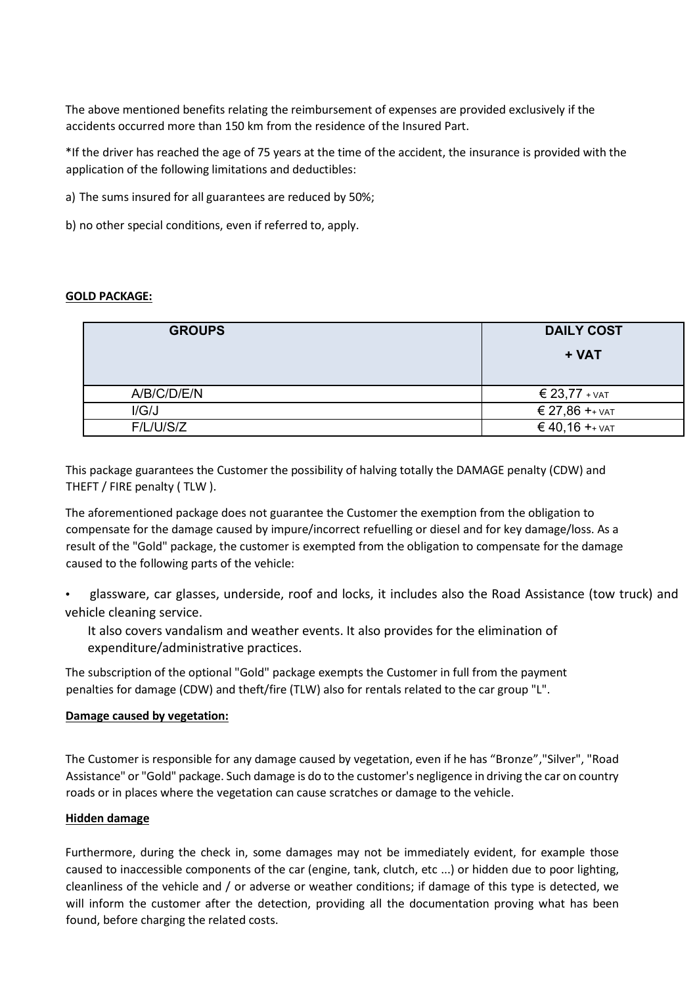The above mentioned benefits relating the reimbursement of expenses are provided exclusively if the accidents occurred more than 150 km from the residence of the Insured Part.

\*If the driver has reached the age of 75 years at the time of the accident, the insurance is provided with the application of the following limitations and deductibles:

- a) The sums insured for all guarantees are reduced by 50%;
- b) no other special conditions, even if referred to, apply.

#### **GOLD PACKAGE:**

| <b>GROUPS</b> | <b>DAILY COST</b>   |
|---------------|---------------------|
|               | + VAT               |
|               |                     |
| A/B/C/D/E/N   | € 23,77 + $VAT$     |
| I/G/J         | € 27,86 $+$ + $VAT$ |
| F/L/ U/S/Z    | $640,16 + YAT$      |

This package guarantees the Customer the possibility of halving totally the DAMAGE penalty (CDW) and THEFT / FIRE penalty ( TLW ).

The aforementioned package does not guarantee the Customer the exemption from the obligation to compensate for the damage caused by impure/incorrect refuelling or diesel and for key damage/loss. As a result of the "Gold" package, the customer is exempted from the obligation to compensate for the damage caused to the following parts of the vehicle:

• glassware, car glasses, underside, roof and locks, it includes also the Road Assistance (tow truck) and vehicle cleaning service.

It also covers vandalism and weather events. It also provides for the elimination of expenditure/administrative practices.

The subscription of the optional "Gold" package exempts the Customer in full from the payment penalties for damage (CDW) and theft/fire (TLW) also for rentals related to the car group "L".

#### **Damage caused by vegetation:**

The Customer is responsible for any damage caused by vegetation, even if he has "Bronze","Silver", "Road Assistance" or "Gold" package. Such damage is do to the customer's negligence in driving the car on country roads or in places where the vegetation can cause scratches or damage to the vehicle.

#### **Hidden damage**

Furthermore, during the check in, some damages may not be immediately evident, for example those caused to inaccessible components of the car (engine, tank, clutch, etc ...) or hidden due to poor lighting, cleanliness of the vehicle and / or adverse or weather conditions; if damage of this type is detected, we will inform the customer after the detection, providing all the documentation proving what has been found, before charging the related costs.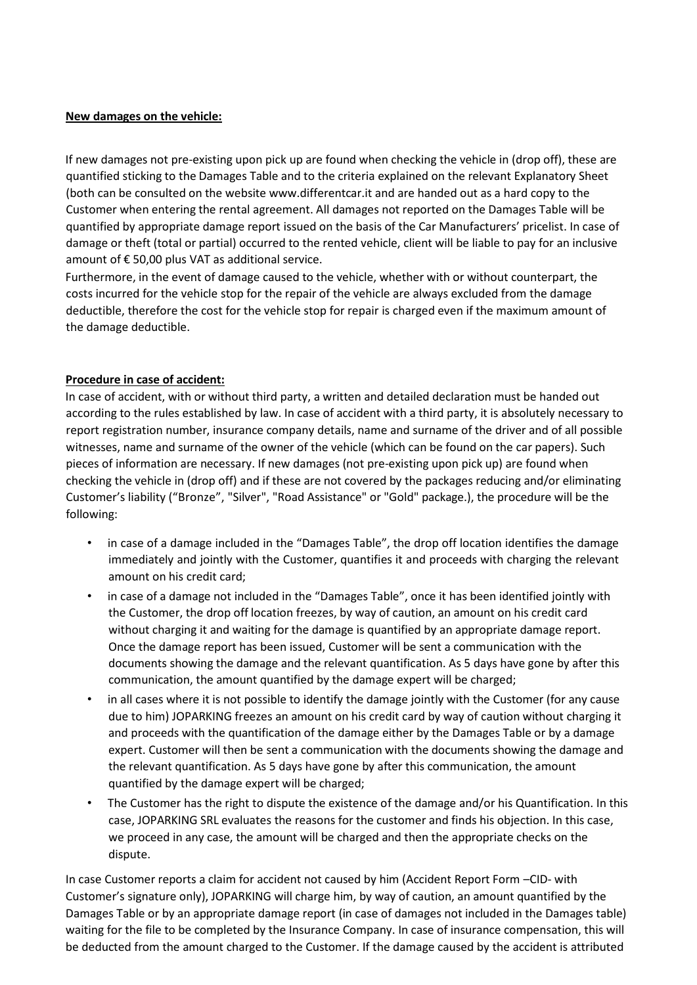### **New damages on the vehicle:**

If new damages not pre-existing upon pick up are found when checking the vehicle in (drop off), these are quantified sticking to the Damages Table and to the criteria explained on the relevant Explanatory Sheet (both can be consulted on the website www.differentcar.it and are handed out as a hard copy to the Customer when entering the rental agreement. All damages not reported on the Damages Table will be quantified by appropriate damage report issued on the basis of the Car Manufacturers' pricelist. In case of damage or theft (total or partial) occurred to the rented vehicle, client will be liable to pay for an inclusive amount of  $\epsilon$  50,00 plus VAT as additional service.

Furthermore, in the event of damage caused to the vehicle, whether with or without counterpart, the costs incurred for the vehicle stop for the repair of the vehicle are always excluded from the damage deductible, therefore the cost for the vehicle stop for repair is charged even if the maximum amount of the damage deductible.

### **Procedure in case of accident:**

In case of accident, with or without third party, a written and detailed declaration must be handed out according to the rules established by law. In case of accident with a third party, it is absolutely necessary to report registration number, insurance company details, name and surname of the driver and of all possible witnesses, name and surname of the owner of the vehicle (which can be found on the car papers). Such pieces of information are necessary. If new damages (not pre-existing upon pick up) are found when checking the vehicle in (drop off) and if these are not covered by the packages reducing and/or eliminating Customer's liability ("Bronze", "Silver", "Road Assistance" or "Gold" package.), the procedure will be the following:

- in case of a damage included in the "Damages Table", the drop off location identifies the damage immediately and jointly with the Customer, quantifies it and proceeds with charging the relevant amount on his credit card;
- in case of a damage not included in the "Damages Table", once it has been identified jointly with the Customer, the drop off location freezes, by way of caution, an amount on his credit card without charging it and waiting for the damage is quantified by an appropriate damage report. Once the damage report has been issued, Customer will be sent a communication with the documents showing the damage and the relevant quantification. As 5 days have gone by after this communication, the amount quantified by the damage expert will be charged;
- in all cases where it is not possible to identify the damage jointly with the Customer (for any cause due to him) JOPARKING freezes an amount on his credit card by way of caution without charging it and proceeds with the quantification of the damage either by the Damages Table or by a damage expert. Customer will then be sent a communication with the documents showing the damage and the relevant quantification. As 5 days have gone by after this communication, the amount quantified by the damage expert will be charged;
- The Customer has the right to dispute the existence of the damage and/or his Quantification. In this case, JOPARKING SRL evaluates the reasons for the customer and finds his objection. In this case, we proceed in any case, the amount will be charged and then the appropriate checks on the dispute.

In case Customer reports a claim for accident not caused by him (Accident Report Form –CID- with Customer's signature only), JOPARKING will charge him, by way of caution, an amount quantified by the Damages Table or by an appropriate damage report (in case of damages not included in the Damages table) waiting for the file to be completed by the Insurance Company. In case of insurance compensation, this will be deducted from the amount charged to the Customer. If the damage caused by the accident is attributed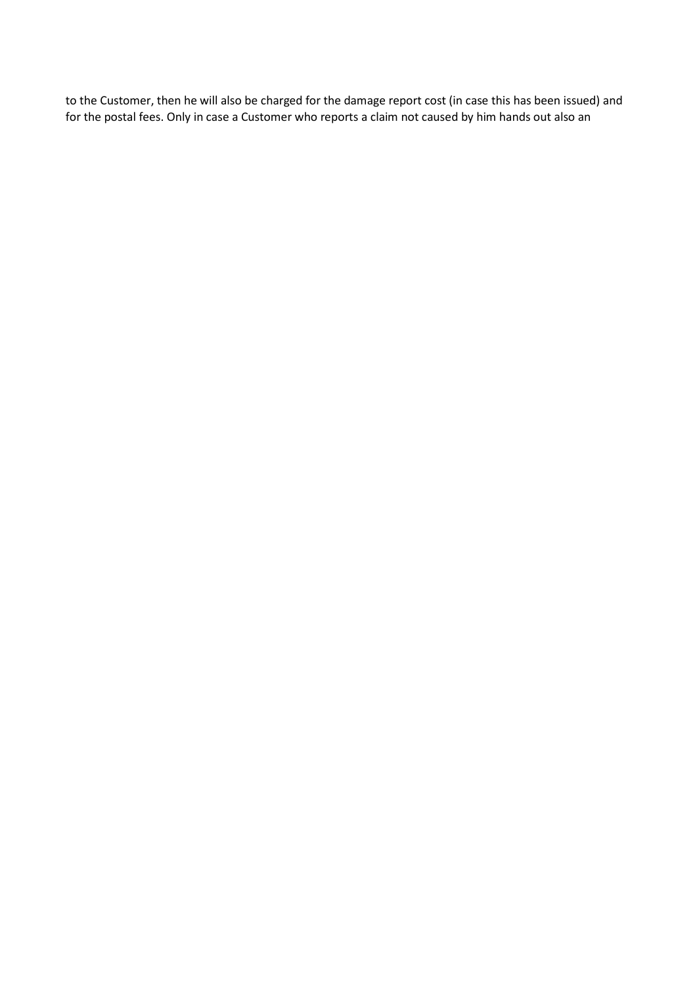to the Customer, then he will also be charged for the damage report cost (in case this has been issued) and for the postal fees. Only in case a Customer who reports a claim not caused by him hands out also an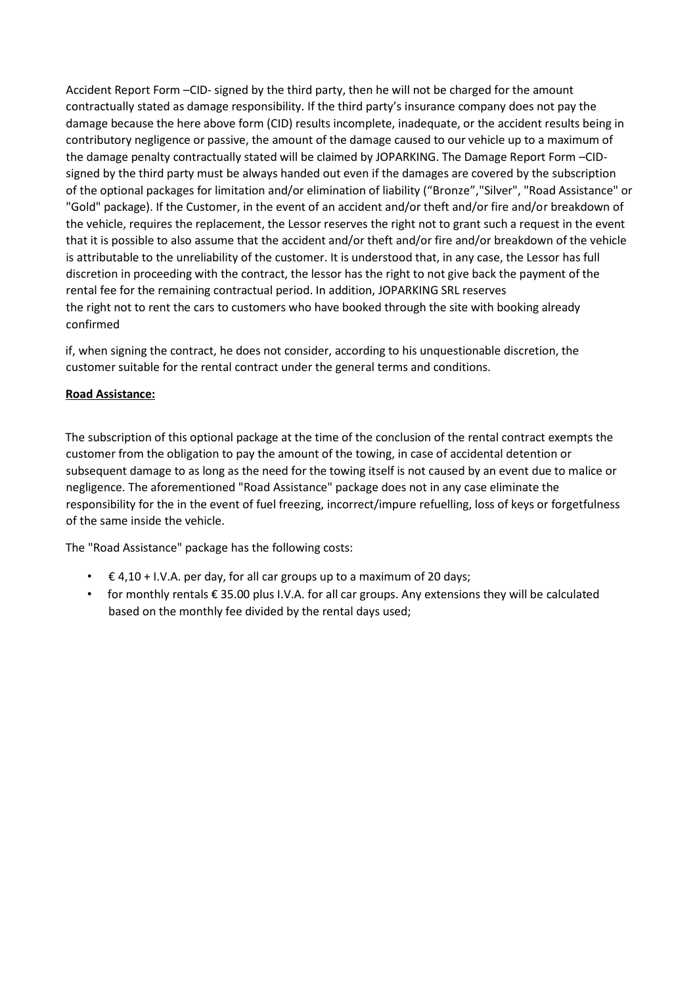Accident Report Form –CID- signed by the third party, then he will not be charged for the amount contractually stated as damage responsibility. If the third party's insurance company does not pay the damage because the here above form (CID) results incomplete, inadequate, or the accident results being in contributory negligence or passive, the amount of the damage caused to our vehicle up to a maximum of the damage penalty contractually stated will be claimed by JOPARKING. The Damage Report Form –CIDsigned by the third party must be always handed out even if the damages are covered by the subscription of the optional packages for limitation and/or elimination of liability ("Bronze","Silver", "Road Assistance" or "Gold" package). If the Customer, in the event of an accident and/or theft and/or fire and/or breakdown of the vehicle, requires the replacement, the Lessor reserves the right not to grant such a request in the event that it is possible to also assume that the accident and/or theft and/or fire and/or breakdown of the vehicle is attributable to the unreliability of the customer. It is understood that, in any case, the Lessor has full discretion in proceeding with the contract, the lessor has the right to not give back the payment of the rental fee for the remaining contractual period. In addition, JOPARKING SRL reserves the right not to rent the cars to customers who have booked through the site with booking already confirmed

if, when signing the contract, he does not consider, according to his unquestionable discretion, the customer suitable for the rental contract under the general terms and conditions.

## **Road Assistance:**

The subscription of this optional package at the time of the conclusion of the rental contract exempts the customer from the obligation to pay the amount of the towing, in case of accidental detention or subsequent damage to as long as the need for the towing itself is not caused by an event due to malice or negligence. The aforementioned "Road Assistance" package does not in any case eliminate the responsibility for the in the event of fuel freezing, incorrect/impure refuelling, loss of keys or forgetfulness of the same inside the vehicle.

The "Road Assistance" package has the following costs:

- $\epsilon$  4,10 + I.V.A. per day, for all car groups up to a maximum of 20 days;
- for monthly rentals € 35.00 plus I.V.A. for all car groups. Any extensions they will be calculated based on the monthly fee divided by the rental days used;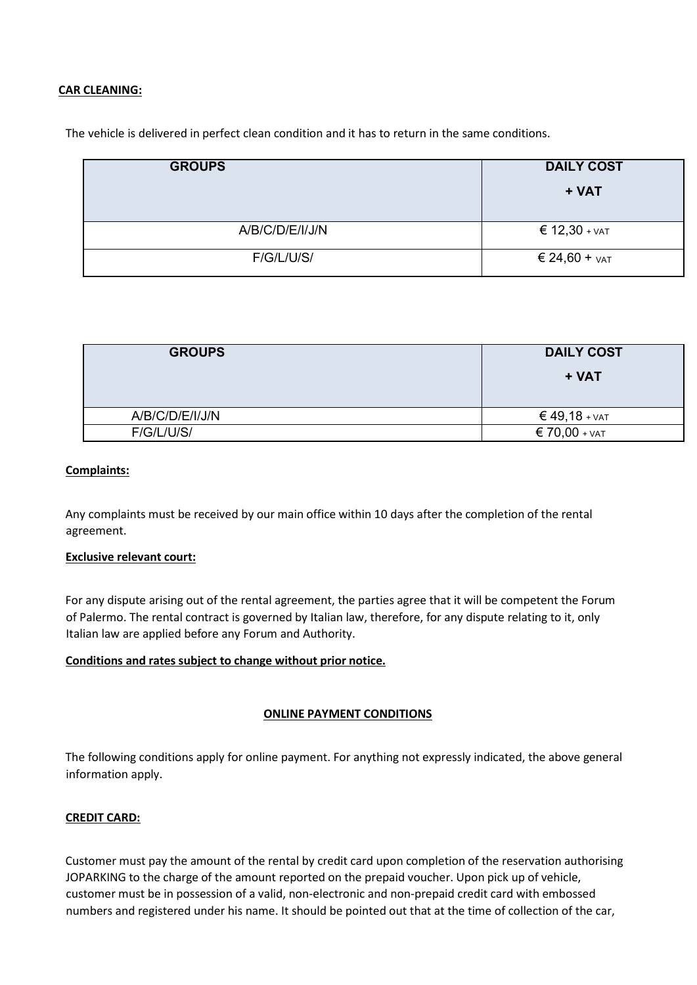#### **CAR CLEANING:**

The vehicle is delivered in perfect clean condition and it has to return in the same conditions.

| <b>GROUPS</b>   | <b>DAILY COST</b>    |
|-----------------|----------------------|
|                 | + VAT                |
|                 |                      |
| A/B/C/D/E/I/J/N | € $12,30 + \sqrt{5}$ |
| F/G/L/U/S/      | € 24,60 + $VAT$      |

| <b>GROUPS</b>   | <b>DAILY COST</b>        |
|-----------------|--------------------------|
|                 | + VAT                    |
| A/B/C/D/E/I/J/N | $\epsilon$ 49,18 + $var$ |
| F/G/L/U/S/      | $\epsilon$ 70,00 + $VAT$ |

### **Complaints:**

Any complaints must be received by our main office within 10 days after the completion of the rental agreement.

#### **Exclusive relevant court:**

For any dispute arising out of the rental agreement, the parties agree that it will be competent the Forum of Palermo. The rental contract is governed by Italian law, therefore, for any dispute relating to it, only Italian law are applied before any Forum and Authority.

#### **Conditions and rates subject to change without prior notice.**

#### **ONLINE PAYMENT CONDITIONS**

The following conditions apply for online payment. For anything not expressly indicated, the above general information apply.

#### **CREDIT CARD:**

Customer must pay the amount of the rental by credit card upon completion of the reservation authorising JOPARKING to the charge of the amount reported on the prepaid voucher. Upon pick up of vehicle, customer must be in possession of a valid, non-electronic and non-prepaid credit card with embossed numbers and registered under his name. It should be pointed out that at the time of collection of the car,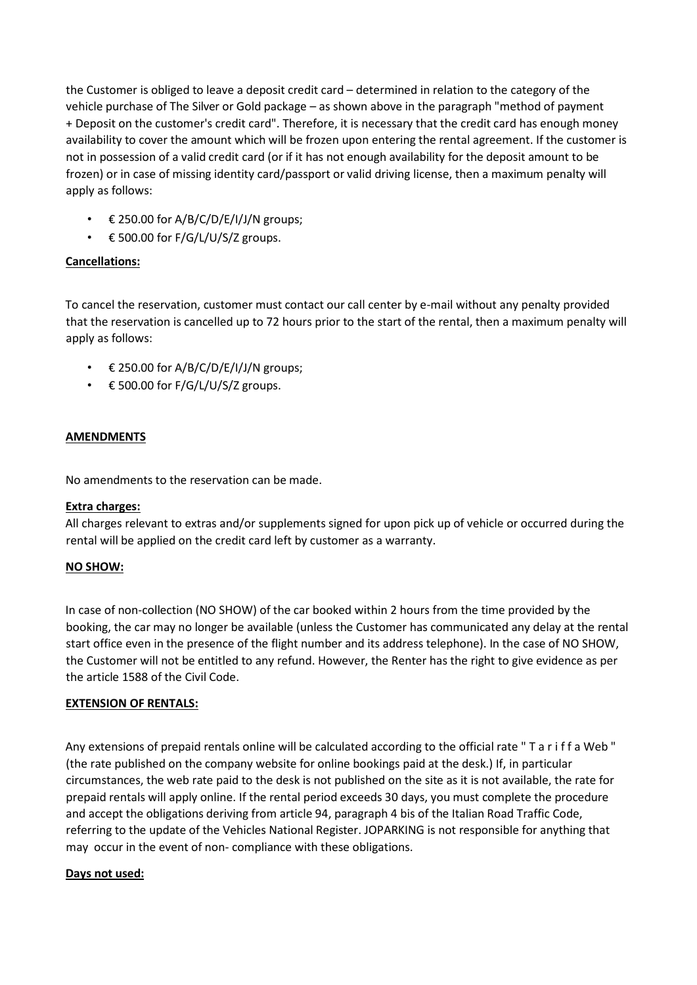the Customer is obliged to leave a deposit credit card – determined in relation to the category of the vehicle purchase of The Silver or Gold package – as shown above in the paragraph "method of payment + Deposit on the customer's credit card". Therefore, it is necessary that the credit card has enough money availability to cover the amount which will be frozen upon entering the rental agreement. If the customer is not in possession of a valid credit card (or if it has not enough availability for the deposit amount to be frozen) or in case of missing identity card/passport or valid driving license, then a maximum penalty will apply as follows:

- € 250.00 for A/B/C/D/E/I/J/N groups;
- $\epsilon$  500.00 for F/G/L/U/S/Z groups.

## **Cancellations:**

To cancel the reservation, customer must contact our call center by e-mail without any penalty provided that the reservation is cancelled up to 72 hours prior to the start of the rental, then a maximum penalty will apply as follows:

- $\epsilon$  250.00 for A/B/C/D/E/I/J/N groups;
- $\epsilon$  500.00 for F/G/L/U/S/Z groups.

## **AMENDMENTS**

No amendments to the reservation can be made.

## **Extra charges:**

All charges relevant to extras and/or supplements signed for upon pick up of vehicle or occurred during the rental will be applied on the credit card left by customer as a warranty.

## **NO SHOW:**

In case of non-collection (NO SHOW) of the car booked within 2 hours from the time provided by the booking, the car may no longer be available (unless the Customer has communicated any delay at the rental start office even in the presence of the flight number and its address telephone). In the case of NO SHOW, the Customer will not be entitled to any refund. However, the Renter has the right to give evidence as per the article 1588 of the Civil Code.

#### **EXTENSION OF RENTALS:**

Any extensions of prepaid rentals online will be calculated according to the official rate " T a r i f f a Web " (the rate published on the company website for online bookings paid at the desk.) If, in particular circumstances, the web rate paid to the desk is not published on the site as it is not available, the rate for prepaid rentals will apply online. If the rental period exceeds 30 days, you must complete the procedure and accept the obligations deriving from article 94, paragraph 4 bis of the Italian Road Traffic Code, referring to the update of the Vehicles National Register. JOPARKING is not responsible for anything that may occur in the event of non- compliance with these obligations.

## **Days not used:**